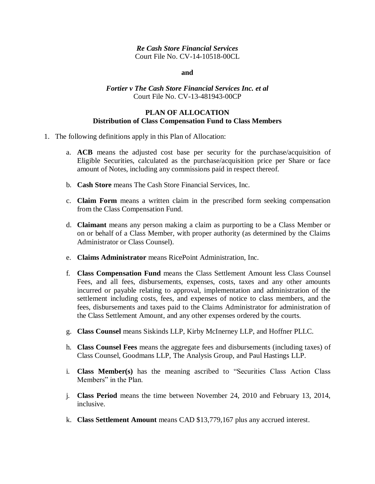# *Re Cash Store Financial Services* Court File No. CV-14-10518-00CL

#### **and**

# *Fortier v The Cash Store Financial Services Inc. et al* Court File No. CV-13-481943-00CP

## **PLAN OF ALLOCATION Distribution of Class Compensation Fund to Class Members**

- 1. The following definitions apply in this Plan of Allocation:
	- a. **ACB** means the adjusted cost base per security for the purchase/acquisition of Eligible Securities, calculated as the purchase/acquisition price per Share or face amount of Notes, including any commissions paid in respect thereof.
	- b. **Cash Store** means The Cash Store Financial Services, Inc.
	- c. **Claim Form** means a written claim in the prescribed form seeking compensation from the Class Compensation Fund.
	- d. **Claimant** means any person making a claim as purporting to be a Class Member or on or behalf of a Class Member, with proper authority (as determined by the Claims Administrator or Class Counsel).
	- e. **Claims Administrator** means RicePoint Administration, Inc.
	- f. **Class Compensation Fund** means the Class Settlement Amount less Class Counsel Fees, and all fees, disbursements, expenses, costs, taxes and any other amounts incurred or payable relating to approval, implementation and administration of the settlement including costs, fees, and expenses of notice to class members, and the fees, disbursements and taxes paid to the Claims Administrator for administration of the Class Settlement Amount, and any other expenses ordered by the courts.
	- g. **Class Counsel** means Siskinds LLP, Kirby McInerney LLP, and Hoffner PLLC.
	- h. **Class Counsel Fees** means the aggregate fees and disbursements (including taxes) of Class Counsel, Goodmans LLP, The Analysis Group, and Paul Hastings LLP.
	- i. **Class Member(s)** has the meaning ascribed to "Securities Class Action Class Members" in the Plan.
	- j. **Class Period** means the time between November 24, 2010 and February 13, 2014, inclusive.
	- k. **Class Settlement Amount** means CAD \$13,779,167 plus any accrued interest.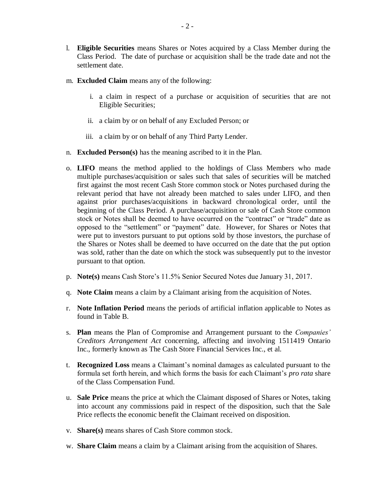- l. **Eligible Securities** means Shares or Notes acquired by a Class Member during the Class Period. The date of purchase or acquisition shall be the trade date and not the settlement date.
- m. **Excluded Claim** means any of the following:
	- i. a claim in respect of a purchase or acquisition of securities that are not Eligible Securities;
	- ii. a claim by or on behalf of any Excluded Person; or
	- iii. a claim by or on behalf of any Third Party Lender.
- n. **Excluded Person(s)** has the meaning ascribed to it in the Plan.
- o. **LIFO** means the method applied to the holdings of Class Members who made multiple purchases/acquisition or sales such that sales of securities will be matched first against the most recent Cash Store common stock or Notes purchased during the relevant period that have not already been matched to sales under LIFO, and then against prior purchases/acquisitions in backward chronological order, until the beginning of the Class Period. A purchase/acquisition or sale of Cash Store common stock or Notes shall be deemed to have occurred on the "contract" or "trade" date as opposed to the "settlement" or "payment" date. However, for Shares or Notes that were put to investors pursuant to put options sold by those investors, the purchase of the Shares or Notes shall be deemed to have occurred on the date that the put option was sold, rather than the date on which the stock was subsequently put to the investor pursuant to that option.
- p. **Note(s)** means Cash Store's 11.5% Senior Secured Notes due January 31, 2017.
- q. **Note Claim** means a claim by a Claimant arising from the acquisition of Notes.
- r. **Note Inflation Period** means the periods of artificial inflation applicable to Notes as found in Table B.
- s. **Plan** means the Plan of Compromise and Arrangement pursuant to the *Companies' Creditors Arrangement Act* concerning, affecting and involving 1511419 Ontario Inc., formerly known as The Cash Store Financial Services Inc., et al.
- t. **Recognized Loss** means a Claimant's nominal damages as calculated pursuant to the formula set forth herein, and which forms the basis for each Claimant's *pro rata* share of the Class Compensation Fund.
- u. **Sale Price** means the price at which the Claimant disposed of Shares or Notes, taking into account any commissions paid in respect of the disposition, such that the Sale Price reflects the economic benefit the Claimant received on disposition.
- v. **Share(s)** means shares of Cash Store common stock.
- w. **Share Claim** means a claim by a Claimant arising from the acquisition of Shares.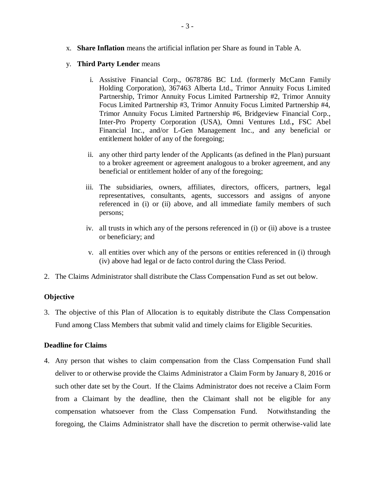- x. **Share Inflation** means the artificial inflation per Share as found in Table A.
- y. **Third Party Lender** means
	- i. Assistive Financial Corp., 0678786 BC Ltd. (formerly McCann Family Holding Corporation), 367463 Alberta Ltd., Trimor Annuity Focus Limited Partnership, Trimor Annuity Focus Limited Partnership #2, Trimor Annuity Focus Limited Partnership #3, Trimor Annuity Focus Limited Partnership #4, Trimor Annuity Focus Limited Partnership #6, Bridgeview Financial Corp., Inter-Pro Property Corporation (USA), Omni Ventures Ltd.**,** FSC Abel Financial Inc., and/or L-Gen Management Inc., and any beneficial or entitlement holder of any of the foregoing;
	- ii. any other third party lender of the Applicants (as defined in the Plan) pursuant to a broker agreement or agreement analogous to a broker agreement, and any beneficial or entitlement holder of any of the foregoing;
	- iii. The subsidiaries, owners, affiliates, directors, officers, partners, legal representatives, consultants, agents, successors and assigns of anyone referenced in (i) or (ii) above, and all immediate family members of such persons;
	- iv. all trusts in which any of the persons referenced in (i) or (ii) above is a trustee or beneficiary; and
	- v. all entities over which any of the persons or entities referenced in (i) through (iv) above had legal or de facto control during the Class Period.
- 2. The Claims Administrator shall distribute the Class Compensation Fund as set out below.

# **Objective**

3. The objective of this Plan of Allocation is to equitably distribute the Class Compensation Fund among Class Members that submit valid and timely claims for Eligible Securities.

# **Deadline for Claims**

4. Any person that wishes to claim compensation from the Class Compensation Fund shall deliver to or otherwise provide the Claims Administrator a Claim Form by January 8, 2016 or such other date set by the Court. If the Claims Administrator does not receive a Claim Form from a Claimant by the deadline, then the Claimant shall not be eligible for any compensation whatsoever from the Class Compensation Fund. Notwithstanding the foregoing, the Claims Administrator shall have the discretion to permit otherwise-valid late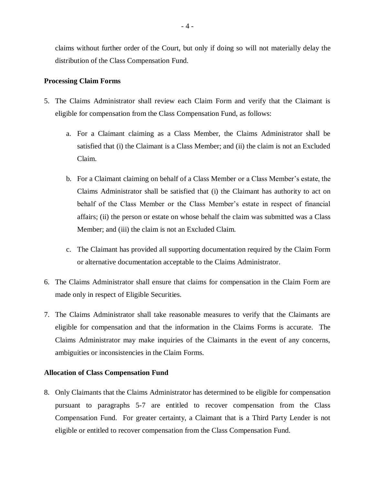claims without further order of the Court, but only if doing so will not materially delay the distribution of the Class Compensation Fund.

## **Processing Claim Forms**

- 5. The Claims Administrator shall review each Claim Form and verify that the Claimant is eligible for compensation from the Class Compensation Fund, as follows:
	- a. For a Claimant claiming as a Class Member, the Claims Administrator shall be satisfied that (i) the Claimant is a Class Member; and (ii) the claim is not an Excluded Claim.
	- b. For a Claimant claiming on behalf of a Class Member or a Class Member's estate, the Claims Administrator shall be satisfied that (i) the Claimant has authority to act on behalf of the Class Member or the Class Member's estate in respect of financial affairs; (ii) the person or estate on whose behalf the claim was submitted was a Class Member; and (iii) the claim is not an Excluded Claim.
	- c. The Claimant has provided all supporting documentation required by the Claim Form or alternative documentation acceptable to the Claims Administrator.
- 6. The Claims Administrator shall ensure that claims for compensation in the Claim Form are made only in respect of Eligible Securities.
- 7. The Claims Administrator shall take reasonable measures to verify that the Claimants are eligible for compensation and that the information in the Claims Forms is accurate. The Claims Administrator may make inquiries of the Claimants in the event of any concerns, ambiguities or inconsistencies in the Claim Forms.

## **Allocation of Class Compensation Fund**

8. Only Claimants that the Claims Administrator has determined to be eligible for compensation pursuant to paragraphs 5-7 are entitled to recover compensation from the Class Compensation Fund. For greater certainty, a Claimant that is a Third Party Lender is not eligible or entitled to recover compensation from the Class Compensation Fund.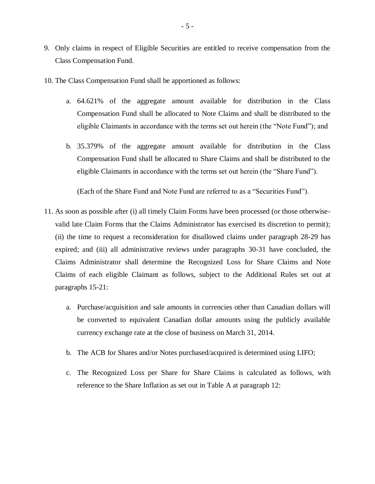- 9. Only claims in respect of Eligible Securities are entitled to receive compensation from the Class Compensation Fund.
- 10. The Class Compensation Fund shall be apportioned as follows:
	- a. 64.621% of the aggregate amount available for distribution in the Class Compensation Fund shall be allocated to Note Claims and shall be distributed to the eligible Claimants in accordance with the terms set out herein (the "Note Fund"); and
	- b. 35.379% of the aggregate amount available for distribution in the Class Compensation Fund shall be allocated to Share Claims and shall be distributed to the eligible Claimants in accordance with the terms set out herein (the "Share Fund").

(Each of the Share Fund and Note Fund are referred to as a "Securities Fund").

- 11. As soon as possible after (i) all timely Claim Forms have been processed (or those otherwisevalid late Claim Forms that the Claims Administrator has exercised its discretion to permit); (ii) the time to request a reconsideration for disallowed claims under paragraph 28-29 has expired; and (iii) all administrative reviews under paragraphs 30-31 have concluded, the Claims Administrator shall determine the Recognized Loss for Share Claims and Note Claims of each eligible Claimant as follows, subject to the Additional Rules set out at paragraphs 15-21:
	- a. Purchase/acquisition and sale amounts in currencies other than Canadian dollars will be converted to equivalent Canadian dollar amounts using the publicly available currency exchange rate at the close of business on March 31, 2014.
	- b. The ACB for Shares and/or Notes purchased/acquired is determined using LIFO;
	- c. The Recognized Loss per Share for Share Claims is calculated as follows, with reference to the Share Inflation as set out in Table A at paragraph 12: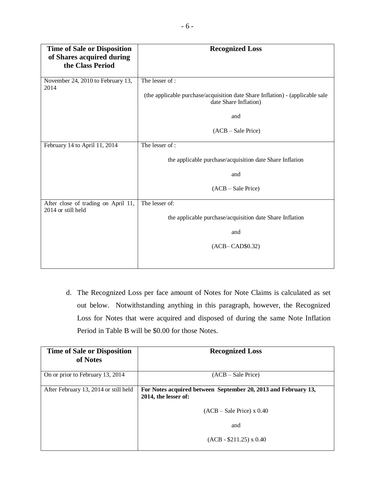| <b>Time of Sale or Disposition</b><br>of Shares acquired during<br>the Class Period | <b>Recognized Loss</b>                                                                                 |
|-------------------------------------------------------------------------------------|--------------------------------------------------------------------------------------------------------|
| November 24, 2010 to February 13,<br>2014                                           | The lesser of :                                                                                        |
|                                                                                     | (the applicable purchase/acquisition date Share Inflation) - (applicable sale<br>date Share Inflation) |
|                                                                                     | and                                                                                                    |
|                                                                                     | (ACB – Sale Price)                                                                                     |
| February 14 to April 11, 2014                                                       | The lesser of:                                                                                         |
|                                                                                     | the applicable purchase/acquisition date Share Inflation                                               |
|                                                                                     | and                                                                                                    |
|                                                                                     | (ACB – Sale Price)                                                                                     |
| After close of trading on April 11,<br>2014 or still held                           | The lesser of:                                                                                         |
|                                                                                     | the applicable purchase/acquisition date Share Inflation                                               |
|                                                                                     | and                                                                                                    |
|                                                                                     | $(ACB-CAD$0.32)$                                                                                       |
|                                                                                     |                                                                                                        |

d. The Recognized Loss per face amount of Notes for Note Claims is calculated as set out below. Notwithstanding anything in this paragraph, however, the Recognized Loss for Notes that were acquired and disposed of during the same Note Inflation Period in Table B will be \$0.00 for those Notes.

| <b>Time of Sale or Disposition</b><br>of Notes | <b>Recognized Loss</b>                                                                 |
|------------------------------------------------|----------------------------------------------------------------------------------------|
| On or prior to February 13, 2014               | $(ACB - Sale Price)$                                                                   |
| After February 13, 2014 or still held          | For Notes acquired between September 20, 2013 and February 13,<br>2014, the lesser of: |
|                                                | $(ACB - Sale Price) \times 0.40$                                                       |
|                                                | and                                                                                    |
|                                                | $(ACB - $211.25) \times 0.40$                                                          |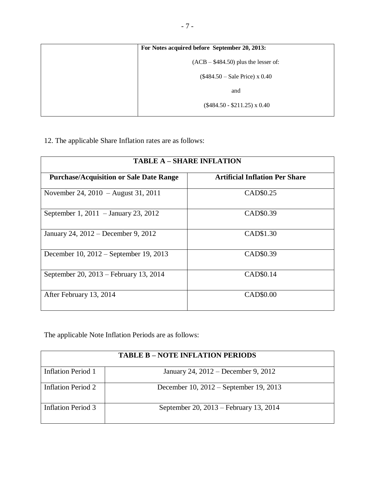| For Notes acquired before September 20, 2013: |
|-----------------------------------------------|
| $(ACB - $484.50)$ plus the lesser of:         |
| $($484.50 - Sale Price) \times 0.40$          |
| and                                           |
| $(\$484.50 - \$211.25) \times 0.40$           |

12. The applicable Share Inflation rates are as follows:

| <b>TABLE A - SHARE INFLATION</b>               |                                       |  |  |
|------------------------------------------------|---------------------------------------|--|--|
| <b>Purchase/Acquisition or Sale Date Range</b> | <b>Artificial Inflation Per Share</b> |  |  |
| November 24, 2010 – August 31, 2011            | CAD\$0.25                             |  |  |
| September 1, 2011 – January 23, 2012           | CAD\$0.39                             |  |  |
| January 24, 2012 – December 9, 2012            | CAD\$1.30                             |  |  |
| December 10, 2012 – September 19, 2013         | CAD\$0.39                             |  |  |
| September 20, 2013 – February 13, 2014         | CAD\$0.14                             |  |  |
| After February 13, 2014                        | CAD\$0.00                             |  |  |

The applicable Note Inflation Periods are as follows:

| <b>TABLE B – NOTE INFLATION PERIODS</b> |                                        |
|-----------------------------------------|----------------------------------------|
| Inflation Period 1                      | January 24, 2012 – December 9, 2012    |
| <b>Inflation Period 2</b>               | December 10, 2012 – September 19, 2013 |
| Inflation Period 3                      | September 20, 2013 – February 13, 2014 |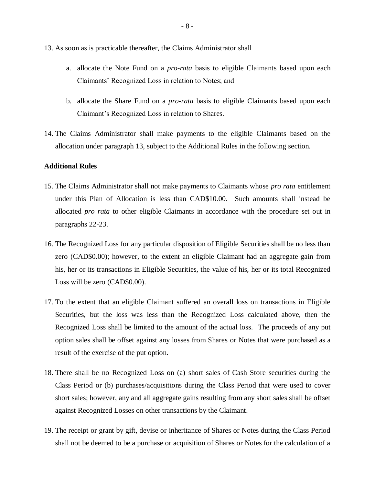- 13. As soon as is practicable thereafter, the Claims Administrator shall
	- a. allocate the Note Fund on a *pro-rata* basis to eligible Claimants based upon each Claimants' Recognized Loss in relation to Notes; and
	- b. allocate the Share Fund on a *pro-rata* basis to eligible Claimants based upon each Claimant's Recognized Loss in relation to Shares.
- 14. The Claims Administrator shall make payments to the eligible Claimants based on the allocation under paragraph 13, subject to the Additional Rules in the following section.

## **Additional Rules**

- 15. The Claims Administrator shall not make payments to Claimants whose *pro rata* entitlement under this Plan of Allocation is less than CAD\$10.00. Such amounts shall instead be allocated *pro rata* to other eligible Claimants in accordance with the procedure set out in paragraphs 22-23.
- 16. The Recognized Loss for any particular disposition of Eligible Securities shall be no less than zero (CAD\$0.00); however, to the extent an eligible Claimant had an aggregate gain from his, her or its transactions in Eligible Securities, the value of his, her or its total Recognized Loss will be zero (CAD\$0.00).
- 17. To the extent that an eligible Claimant suffered an overall loss on transactions in Eligible Securities, but the loss was less than the Recognized Loss calculated above, then the Recognized Loss shall be limited to the amount of the actual loss. The proceeds of any put option sales shall be offset against any losses from Shares or Notes that were purchased as a result of the exercise of the put option.
- 18. There shall be no Recognized Loss on (a) short sales of Cash Store securities during the Class Period or (b) purchases/acquisitions during the Class Period that were used to cover short sales; however, any and all aggregate gains resulting from any short sales shall be offset against Recognized Losses on other transactions by the Claimant.
- 19. The receipt or grant by gift, devise or inheritance of Shares or Notes during the Class Period shall not be deemed to be a purchase or acquisition of Shares or Notes for the calculation of a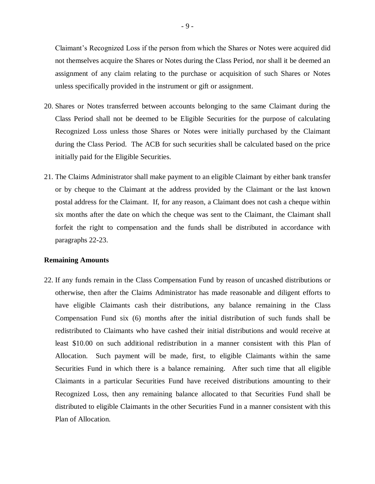Claimant's Recognized Loss if the person from which the Shares or Notes were acquired did not themselves acquire the Shares or Notes during the Class Period, nor shall it be deemed an assignment of any claim relating to the purchase or acquisition of such Shares or Notes unless specifically provided in the instrument or gift or assignment.

- 20. Shares or Notes transferred between accounts belonging to the same Claimant during the Class Period shall not be deemed to be Eligible Securities for the purpose of calculating Recognized Loss unless those Shares or Notes were initially purchased by the Claimant during the Class Period. The ACB for such securities shall be calculated based on the price initially paid for the Eligible Securities.
- 21. The Claims Administrator shall make payment to an eligible Claimant by either bank transfer or by cheque to the Claimant at the address provided by the Claimant or the last known postal address for the Claimant. If, for any reason, a Claimant does not cash a cheque within six months after the date on which the cheque was sent to the Claimant, the Claimant shall forfeit the right to compensation and the funds shall be distributed in accordance with paragraphs 22-23.

## **Remaining Amounts**

22. If any funds remain in the Class Compensation Fund by reason of uncashed distributions or otherwise, then after the Claims Administrator has made reasonable and diligent efforts to have eligible Claimants cash their distributions, any balance remaining in the Class Compensation Fund six (6) months after the initial distribution of such funds shall be redistributed to Claimants who have cashed their initial distributions and would receive at least \$10.00 on such additional redistribution in a manner consistent with this Plan of Allocation. Such payment will be made, first, to eligible Claimants within the same Securities Fund in which there is a balance remaining. After such time that all eligible Claimants in a particular Securities Fund have received distributions amounting to their Recognized Loss, then any remaining balance allocated to that Securities Fund shall be distributed to eligible Claimants in the other Securities Fund in a manner consistent with this Plan of Allocation.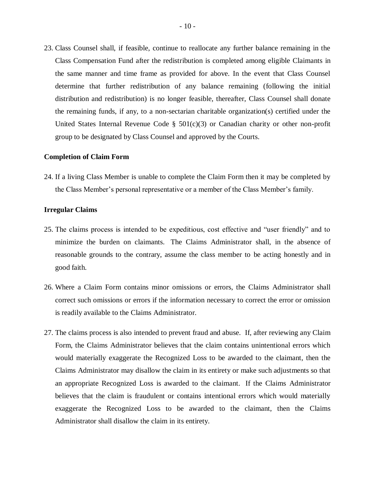23. Class Counsel shall, if feasible, continue to reallocate any further balance remaining in the Class Compensation Fund after the redistribution is completed among eligible Claimants in the same manner and time frame as provided for above. In the event that Class Counsel determine that further redistribution of any balance remaining (following the initial distribution and redistribution) is no longer feasible, thereafter, Class Counsel shall donate the remaining funds, if any, to a non-sectarian charitable organization(s) certified under the United States Internal Revenue Code  $\S$  501(c)(3) or Canadian charity or other non-profit group to be designated by Class Counsel and approved by the Courts.

#### **Completion of Claim Form**

24. If a living Class Member is unable to complete the Claim Form then it may be completed by the Class Member's personal representative or a member of the Class Member's family.

### **Irregular Claims**

- 25. The claims process is intended to be expeditious, cost effective and "user friendly" and to minimize the burden on claimants. The Claims Administrator shall, in the absence of reasonable grounds to the contrary, assume the class member to be acting honestly and in good faith.
- 26. Where a Claim Form contains minor omissions or errors, the Claims Administrator shall correct such omissions or errors if the information necessary to correct the error or omission is readily available to the Claims Administrator.
- 27. The claims process is also intended to prevent fraud and abuse. If, after reviewing any Claim Form, the Claims Administrator believes that the claim contains unintentional errors which would materially exaggerate the Recognized Loss to be awarded to the claimant, then the Claims Administrator may disallow the claim in its entirety or make such adjustments so that an appropriate Recognized Loss is awarded to the claimant. If the Claims Administrator believes that the claim is fraudulent or contains intentional errors which would materially exaggerate the Recognized Loss to be awarded to the claimant, then the Claims Administrator shall disallow the claim in its entirety.